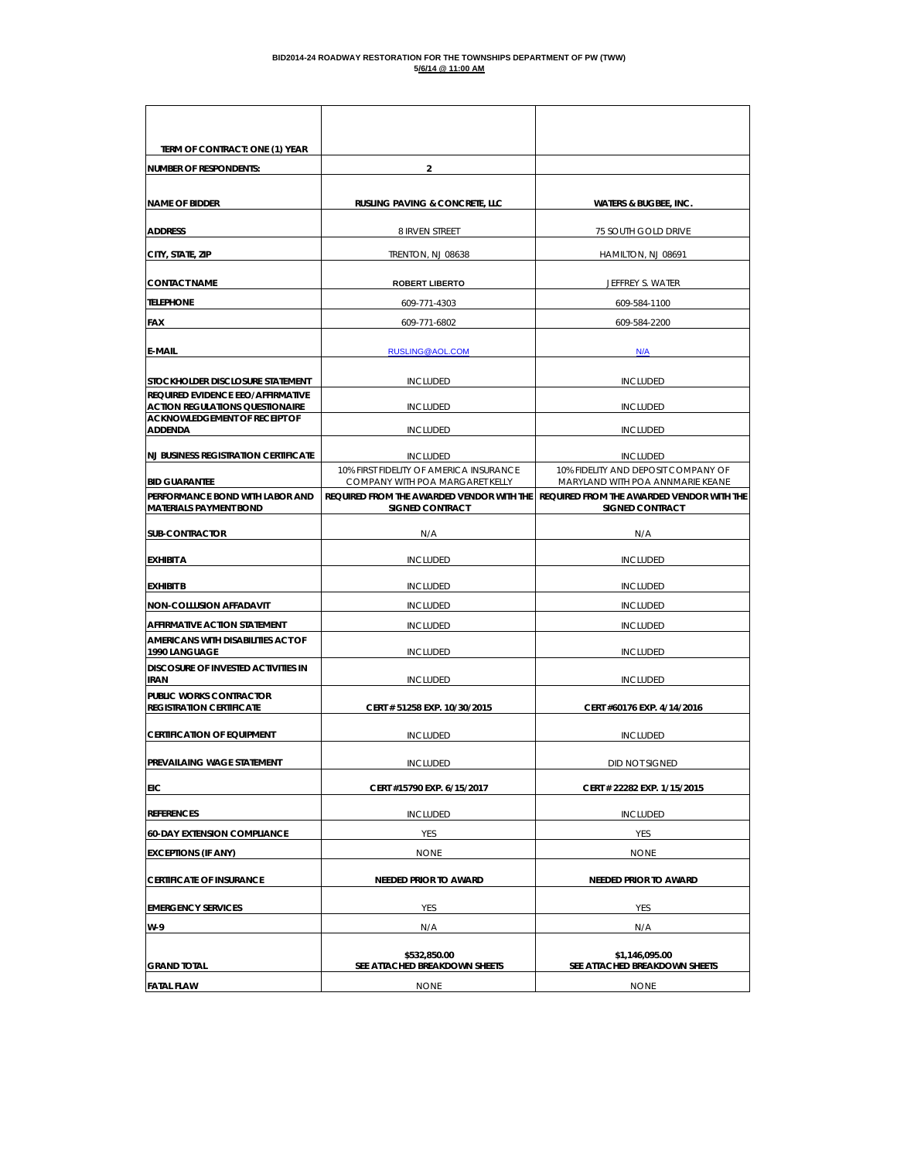| TERM OF CONTRACT: ONE (1) YEAR                                               |                                                                              |                                                                               |
|------------------------------------------------------------------------------|------------------------------------------------------------------------------|-------------------------------------------------------------------------------|
| <b>NUMBER OF RESPONDENTS:</b>                                                | $\overline{2}$                                                               |                                                                               |
|                                                                              |                                                                              |                                                                               |
| <b>NAME OF BIDDER</b>                                                        | <b>RUSLING PAVING &amp; CONCRETE, LLC</b>                                    | <b>WATERS &amp; BUGBEE, INC.</b>                                              |
| <b>ADDRESS</b>                                                               | 8 IRVEN STREET                                                               | 75 SOUTH GOLD DRIVE                                                           |
| CITY, STATE, ZIP                                                             | TRENTON, NJ 08638                                                            | HAMILTON, NJ 08691                                                            |
| <b>CONTACT NAME</b>                                                          | <b>ROBERT LIBERTO</b>                                                        | JEFFREY S. WATER                                                              |
| <b>TELEPHONE</b>                                                             | 609-771-4303                                                                 | 609-584-1100                                                                  |
| FAX                                                                          | 609-771-6802                                                                 | 609-584-2200                                                                  |
| <b>E-MAIL</b>                                                                | RUSLING@AOL.COM                                                              | N/A                                                                           |
|                                                                              |                                                                              |                                                                               |
| STOCKHOLDER DISCLOSURE STATEMENT<br><b>REQUIRED EVIDENCE EEO/AFFIRMATIVE</b> | <b>INCLUDED</b>                                                              | <b>INCLUDED</b>                                                               |
| <b>ACTION REGULATIONS QUESTIONAIRE</b>                                       | <b>INCLUDED</b>                                                              | <b>INCLUDED</b>                                                               |
| ACKNOWLEDGEMENT OF RECEIPT OF<br>ADDENDA                                     | <b>INCLUDED</b>                                                              | <b>INCLUDED</b>                                                               |
| <b>NJ BUSINESS REGISTRATION CERTIFICATE</b>                                  | <b>INCLUDED</b>                                                              | <b>INCLUDED</b>                                                               |
|                                                                              | 10% FIRST FIDELITY OF AMERICA INSURANCE                                      | 10% FIDELITY AND DEPOSIT COMPANY OF                                           |
| <b>BID GUARANTEE</b><br>PERFORMANCE BOND WITH LABOR AND                      | COMPANY WITH POA MARGARET KELLY<br>REQUIRED FROM THE AWARDED VENDOR WITH THE | MARYLAND WITH POA ANNMARIE KEANE<br>REQUIRED FROM THE AWARDED VENDOR WITH THE |
| <b>MATERIALS PAYMENT BOND</b>                                                | <b>SIGNED CONTRACT</b>                                                       | <b>SIGNED CONTRACT</b>                                                        |
| <b>SUB-CONTRACTOR</b>                                                        | N/A                                                                          | N/A                                                                           |
| <b>EXHIBIT A</b>                                                             | <b>INCLUDED</b>                                                              | <b>INCLUDED</b>                                                               |
| <b>EXHIBIT B</b>                                                             | <b>INCLUDED</b>                                                              | <b>INCLUDED</b>                                                               |
| <b>NON-COLLUSION AFFADAVIT</b>                                               | <b>INCLUDED</b>                                                              | <b>INCLUDED</b>                                                               |
| AFFIRMATIVE ACTION STATEMENT                                                 | <b>INCLUDED</b>                                                              | <b>INCLUDED</b>                                                               |
| AMERICANS WITH DISABILITIES ACT OF<br>1990 LANGUAGE                          | <b>INCLUDED</b>                                                              | <b>INCLUDED</b>                                                               |
| DISCOSURE OF INVESTED ACTIVITIES IN<br>IRAN                                  | <b>INCLUDED</b>                                                              | <b>INCLUDED</b>                                                               |
| PUBLIC WORKS CONTRACTOR                                                      |                                                                              |                                                                               |
| <b>REGISTRATION CERTIFICATE</b>                                              | CERT # 51258 EXP. 10/30/2015                                                 | CERT #60176 EXP. 4/14/2016                                                    |
| <b>CERTIFICATION OF EQUIPMENT</b>                                            | <b>INCLUDED</b>                                                              | <b>INCLUDED</b>                                                               |
| PREVAILAING WAGE STATEMENT                                                   | <b>INCLUDED</b>                                                              | DID NOT SIGNED                                                                |
| <b>EIC</b>                                                                   | CERT #15790 EXP. 6/15/2017                                                   | CERT # 22282 EXP. 1/15/2015                                                   |
| <b>REFERENCES</b>                                                            | <b>INCLUDED</b>                                                              | <b>INCLUDED</b>                                                               |
| <b>60-DAY EXTENSION COMPLIANCE</b>                                           | YES                                                                          | YES                                                                           |
| <b>EXCEPTIONS (IF ANY)</b>                                                   | <b>NONE</b>                                                                  | <b>NONE</b>                                                                   |
| <b>CERTIFICATE OF INSURANCE</b>                                              | <b>NEEDED PRIOR TO AWARD</b>                                                 | <b>NEEDED PRIOR TO AWARD</b>                                                  |
| <b>EMERGENCY SERVICES</b>                                                    | YES                                                                          | YES                                                                           |
| W-9                                                                          | N/A                                                                          | N/A                                                                           |
|                                                                              |                                                                              |                                                                               |
| grand total                                                                  | \$532.850.00<br>SEE ATTACHED BREAKDOWN SHEETS                                | \$1,146,095.00<br>SEE ATTACHED BREAKDOWN SHEETS                               |
| <b>FATAL FLAW</b>                                                            | <b>NONE</b>                                                                  | <b>NONE</b>                                                                   |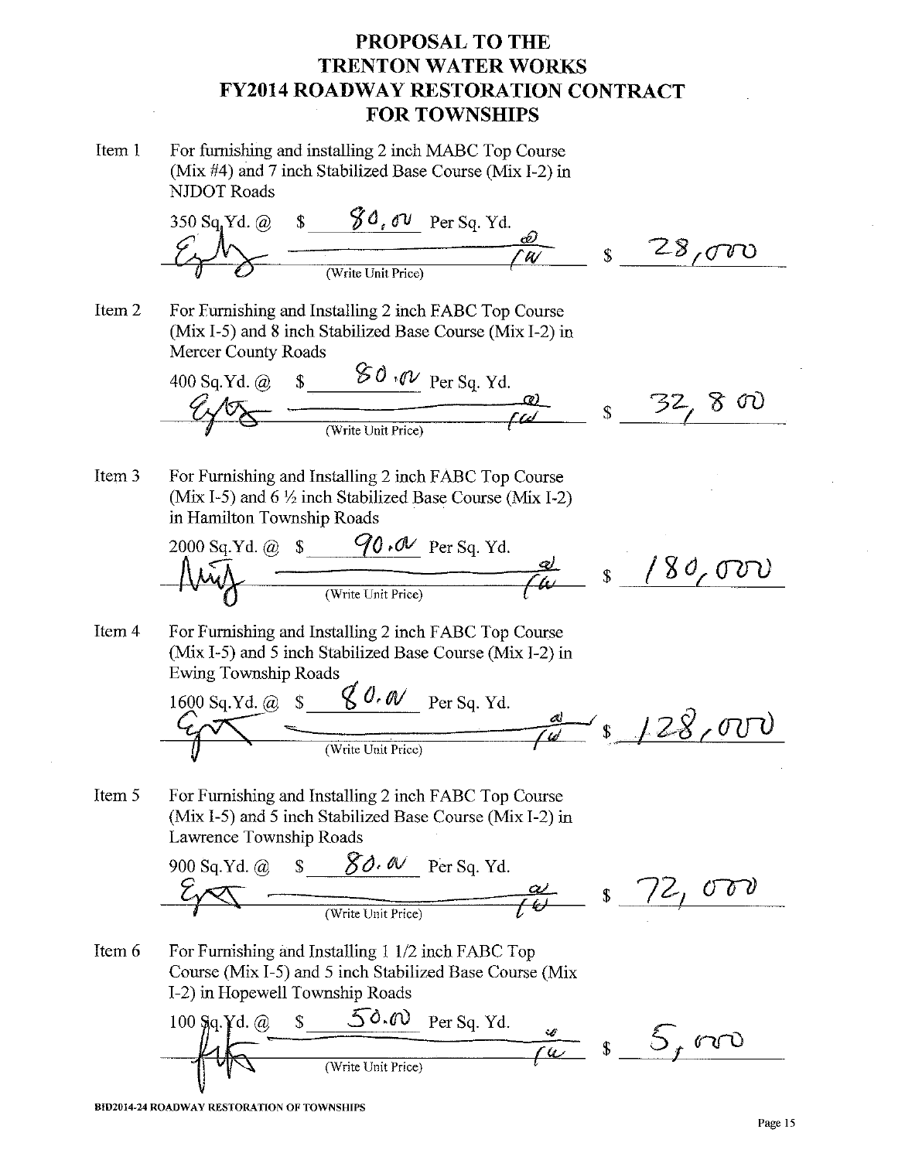Item 1 For furnishing and installing 2 inch MABC Top Course (Mix #4) and 7 inch Stabilized Base Course (Mix I-2) in **NJDOT** Roads

$$
\frac{\frac{350 \text{ Sq } \text{Yd. @ } s \qquad \textcircled{60, ov}}{\text{Write Unit Price}}}{{\textcircled{6}} \qquad \textcircled{8}}
$$

Item 2 For Furnishing and Installing 2 inch FABC Top Course (Mix I-5) and 8 inch Stabilized Base Course (Mix I-2) in Mercer County Roads

400 sq.Yd. @ 
$$
s = 80.00
$$
 per Sq. Yd.  
\n $Q\sqrt{8}$   $W$  rate Unit Price)  $W$ 

Item 3 For Furnishing and Installing 2 inch FABC Top Course (Mix I-5) and  $6\frac{1}{2}$  inch Stabilized Base Course (Mix I-2) in Hamilton Township Roads

2000 Sq.Yd. @ s 90.0 V per Sq. Yd.  
\n
$$
W_0
$$
\n
$$
W_0
$$
\n
$$
W_0
$$
\n
$$
W_0
$$
\n
$$
W_0
$$
\n
$$
W_0
$$
\n
$$
W_0
$$
\n
$$
W_0
$$
\n
$$
W_0
$$
\n
$$
W_0
$$
\n
$$
W_0
$$
\n
$$
W_0
$$
\n
$$
W_0
$$
\n
$$
W_0
$$
\n
$$
W_0
$$
\n
$$
W_0
$$
\n
$$
W_0
$$
\n
$$
W_0
$$
\n
$$
W_0
$$
\n
$$
W_0
$$
\n
$$
W_0
$$
\n
$$
W_0
$$
\n
$$
W_0
$$
\n
$$
W_0
$$
\n
$$
W_0
$$
\n
$$
W_0
$$
\n
$$
W_0
$$
\n
$$
W_0
$$
\n
$$
W_0
$$
\n
$$
W_0
$$
\n
$$
W_0
$$
\n
$$
W_0
$$
\n
$$
W_0
$$
\n
$$
W_0
$$
\n
$$
W_0
$$
\n
$$
W_0
$$
\n
$$
W_0
$$
\n
$$
W_0
$$
\n
$$
W_0
$$
\n
$$
W_0
$$
\n
$$
W_0
$$
\n
$$
W_0
$$
\n
$$
W_0
$$
\n
$$
W_0
$$
\n
$$
W_0
$$
\n
$$
W_0
$$
\n
$$
W_0
$$
\n
$$
W_0
$$
\n
$$
W_0
$$
\n
$$
W_0
$$
\n
$$
W_0
$$
\n
$$
W_0
$$
\n
$$
W_0
$$
\n
$$
W_0
$$
\n
$$
W_0
$$
\n
$$
W_0
$$
\n
$$
W_0
$$
\

Item 4 For Furnishing and Installing 2 inch FABC Top Course (Mix I-5) and 5 inch Stabilized Base Course (Mix I-2) in **Ewing Township Roads** 

1600 Sq.Yd. @ 
$$
s
$$
  $\frac{\cancel{6}0.\cancel{6}0}{\cancel{6}0}$  Per Sq. Yd.

Item 5 For Furnishing and Installing 2 inch FABC Top Course (Mix I-5) and 5 inch Stabilized Base Course (Mix I-2) in Lawrence Township Roads

900 Sq.Yd. @ 
$$
\frac{\mathcal{S}}{\mathcal{S}}
$$
  $\frac{\mathcal{S}}{\mathcal{S}}$   $\frac{\mathcal{S}}{\mathcal{S}}$   $\frac{\mathcal{S}}{\mathcal{S}}$   $\frac{\mathcal{S}}{\mathcal{S}}$   $\frac{\mathcal{S}}{\mathcal{S}}$   $\frac{\mathcal{S}}{\mathcal{S}}$   $\frac{\mathcal{S}}{\mathcal{S}}$   $\frac{\mathcal{S}}{\mathcal{S}}$   $\frac{\mathcal{S}}{\mathcal{S}}$   $\frac{\mathcal{S}}{\mathcal{S}}$ 

Item 6 For Furnishing and Installing 1 1/2 inch FABC Top Course (Mix I-5) and 5 inch Stabilized Base Course (Mix I-2) in Hopewell Township Roads

100 sq.Yd. @ s 50.00 per Sq. Yd.   
\n(4) 
$$
\sqrt{\frac{4}{\sqrt{6}}}
$$
 8 5 f 00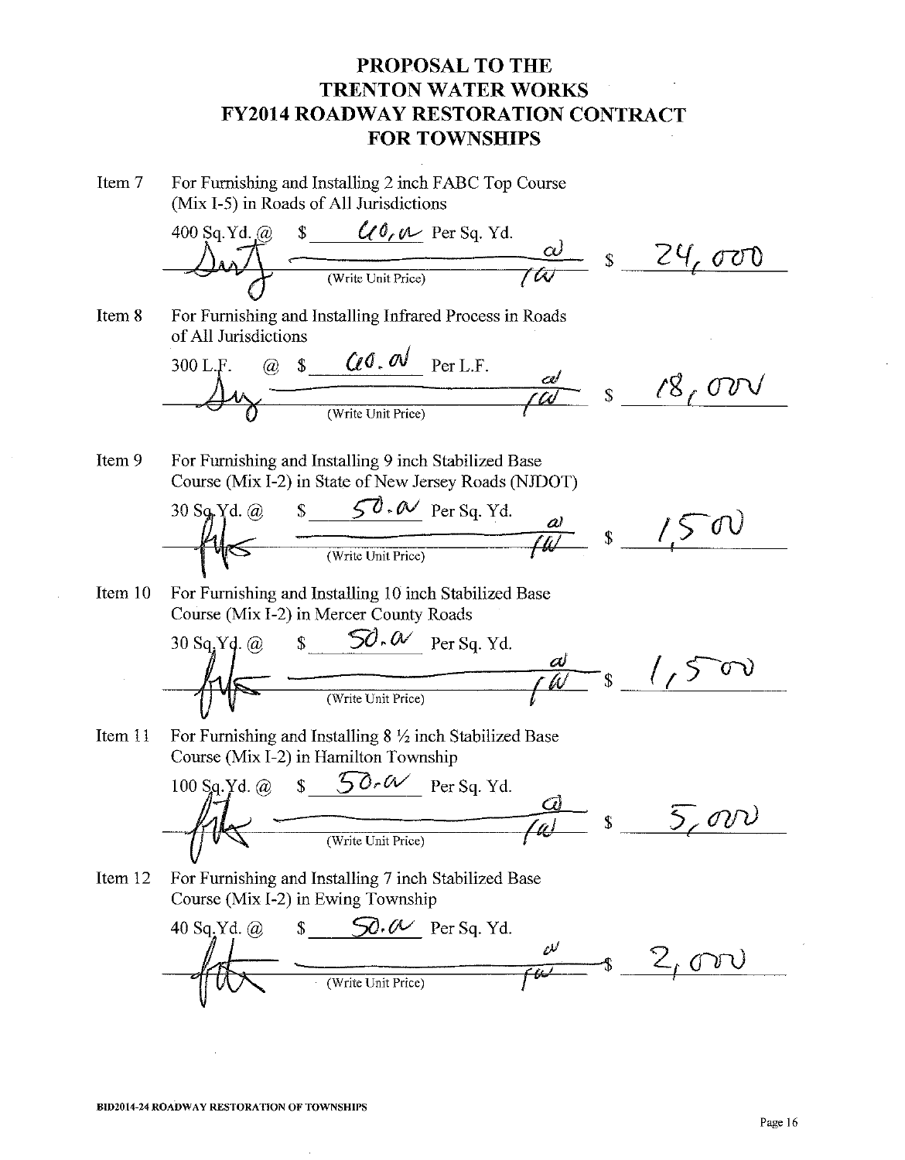Item 7 For Furnishing and Installing 2 inch FABC Top Course (Mix I-5) in Roads of All Jurisdictions

$$
\frac{\sqrt{400 \text{ Sq.Yd. @ } s \cdot \frac{C(0,0)}{\text{Per Sq.Yd.} }}{\sqrt{400 \text{ Var } t \cdot \text{Per G}}}} \quad s \cdot \frac{24,000}{000}
$$

Item 8 For Furnishing and Installing Infrared Process in Roads of All Jurisdictions j.

300 L.F. @ s 
$$
Q \cdot Q
$$
,  $Q \cdot Q$  Per L.F.  
\n $Q \cdot Q$   $Q$   $Q$   $Q$   $Q$   $Q$   $Q$   $Q$   $Q$   $Q$   $Q$   $Q$   $Q$   $Q$   $Q$   $Q$   $Q$   $Q$   $Q$   $Q$   $Q$   $Q$   $Q$   $Q$   $Q$   $Q$   $Q$   $Q$   $Q$   $Q$   $Q$   $Q$   $Q$   $Q$   $Q$   $Q$   $Q$   $Q$   $Q$   $Q$   $Q$   $Q$   $Q$   $Q$   $Q$   $Q$   $Q$   $Q$   $Q$   $Q$   $Q$   $Q$   $Q$   $Q$   $Q$   $Q$   $Q$   $Q$   $Q$   $Q$   $Q$   $Q$   $Q$   $Q$   $Q$   $Q$   $Q$   $Q$   $Q$   $Q$   $Q$   $Q$   $Q$   $Q$   $Q$   $Q$   $Q$   $Q$   $Q$   $Q$   $Q$   $Q$   $Q$   $Q$   $Q$   $Q$   $Q$   $Q$   $Q$   $Q$   $Q$   $Q$   $Q$   $Q$   $Q$   $Q$   $Q$   $Q$   $Q$   $Q$   $Q$   $Q$   $Q$  <

For Furnishing and Installing 9 inch Stabilized Base Item 9 Course (Mix I-2) in State of New Jersey Roads (NJDOT)



For Furnishing and Installing 10 inch Stabilized Base Item 10 Course (Mix I-2) in Mercer County Roads

$$
\frac{\frac{30 \text{ sq.yq. @ } s \qquad \text{SO.} \alpha \qquad \text{Per sq. Yd.} }{\text{Write Unit Price}}} \frac{d}{d\theta} \qquad \frac{1}{5} \qquad \frac{1}{5} \qquad \frac{1}{5} \qquad \frac{1}{5} \qquad \frac{1}{5} \qquad \frac{1}{5} \qquad \frac{1}{5} \qquad \frac{1}{5} \qquad \frac{1}{5} \qquad \frac{1}{5} \qquad \frac{1}{5} \qquad \frac{1}{5} \qquad \frac{1}{5} \qquad \frac{1}{5} \qquad \frac{1}{5} \qquad \frac{1}{5} \qquad \frac{1}{5} \qquad \frac{1}{5} \qquad \frac{1}{5} \qquad \frac{1}{5} \qquad \frac{1}{5} \qquad \frac{1}{5} \qquad \frac{1}{5} \qquad \frac{1}{5} \qquad \frac{1}{5} \qquad \frac{1}{5} \qquad \frac{1}{5} \qquad \frac{1}{5} \qquad \frac{1}{5} \qquad \frac{1}{5} \qquad \frac{1}{5} \qquad \frac{1}{5} \qquad \frac{1}{5} \qquad \frac{1}{5} \qquad \frac{1}{5} \qquad \frac{1}{5} \qquad \frac{1}{5} \qquad \frac{1}{5} \qquad \frac{1}{5} \qquad \frac{1}{5} \qquad \frac{1}{5} \qquad \frac{1}{5} \qquad \frac{1}{5} \qquad \frac{1}{5} \qquad \frac{1}{5} \qquad \frac{1}{5} \qquad \frac{1}{5} \qquad \frac{1}{5} \qquad \frac{1}{5} \qquad \frac{1}{5} \qquad \frac{1}{5} \qquad \frac{1}{5} \qquad \frac{1}{5} \qquad \frac{1}{5} \qquad \frac{1}{5} \qquad \frac{1}{5} \qquad \frac{1}{5} \qquad \frac{1}{5} \qquad \frac{1}{5} \qquad \frac{1}{5} \qquad \frac{1}{5} \qquad \frac{1}{5} \qquad \frac{1}{5} \qquad \frac{1}{5} \qquad \frac{1}{5} \qquad \frac{1}{5} \qquad \frac{1}{5} \qquad \frac{1}{5} \qquad \frac{1}{5} \qquad \frac{1}{5}
$$

For Furnishing and Installing  $8\frac{1}{2}$  inch Stabilized Base Item 11 Course (Mix I-2) in Hamilton Township

For Furnishing and Installing 7 inch Stabilized Base Item 12 Course (Mix I-2) in Ewing Township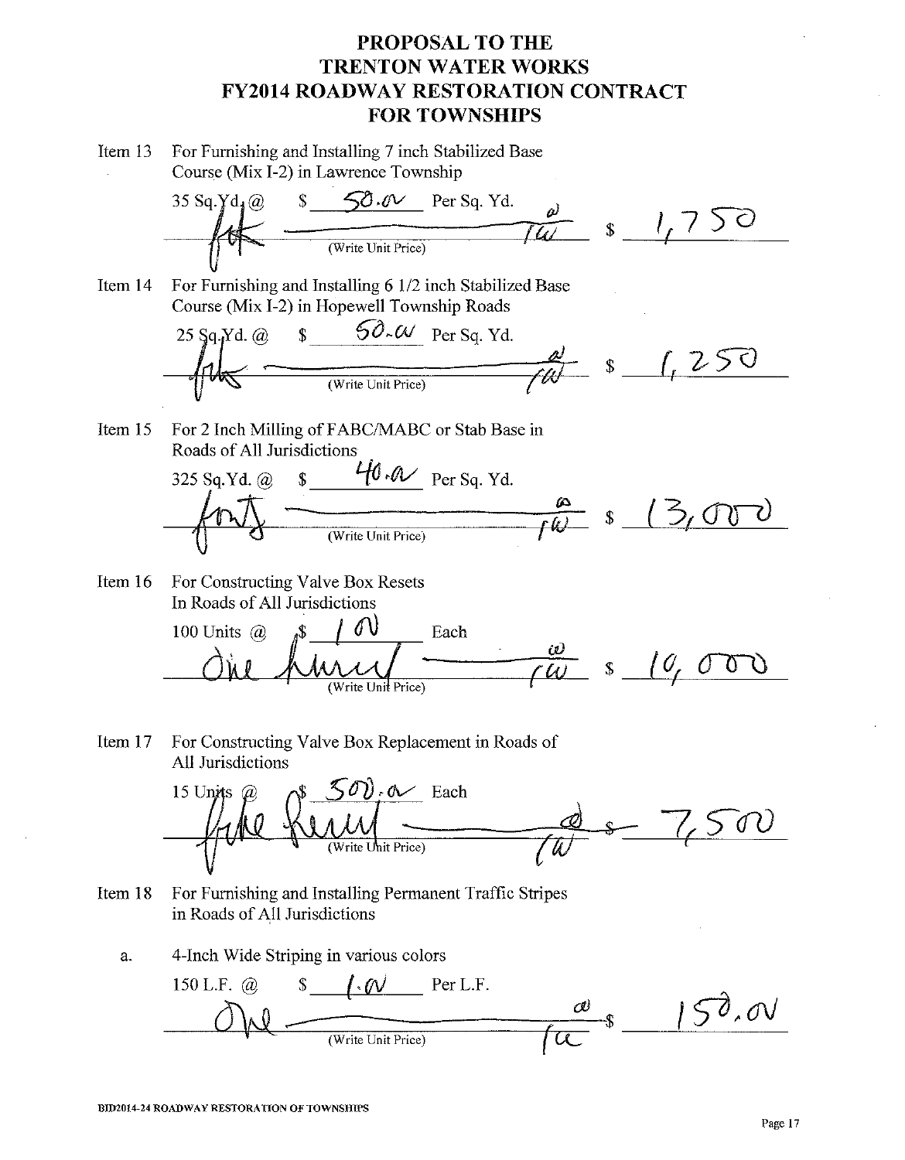For Furnishing and Installing 7 inch Stabilized Base Item  $13$ Course (Mix I-2) in Lawrence Township



For Furnishing and Installing 6 1/2 inch Stabilized Base Item 14 Course (Mix I-2) in Hopewell Township Roads



For 2 Inch Milling of FABC/MABC or Stab Base in Item 15 Roads of All Jurisdictions



Item 16 For Constructing Valve Box Resets In Roads of All Jurisdictions

100 Units @ 
$$
\sqrt{\frac{s+0}{\omega_{\text{write Unif Price}}}}
$$
 Each  $\omega$   $s+0,000$ 

For Constructing Valve Box Replacement in Roads of Item 17 All Jurisdictions



- For Furnishing and Installing Permanent Traffic Stripes Item 18 in Roads of All Jurisdictions
	- 4-Inch Wide Striping in various colors a.

150 L.F.  $\omega$  $\sqrt{$\cdot \omega$}$  Per L.F.  $150.00$ (Write Unit Price)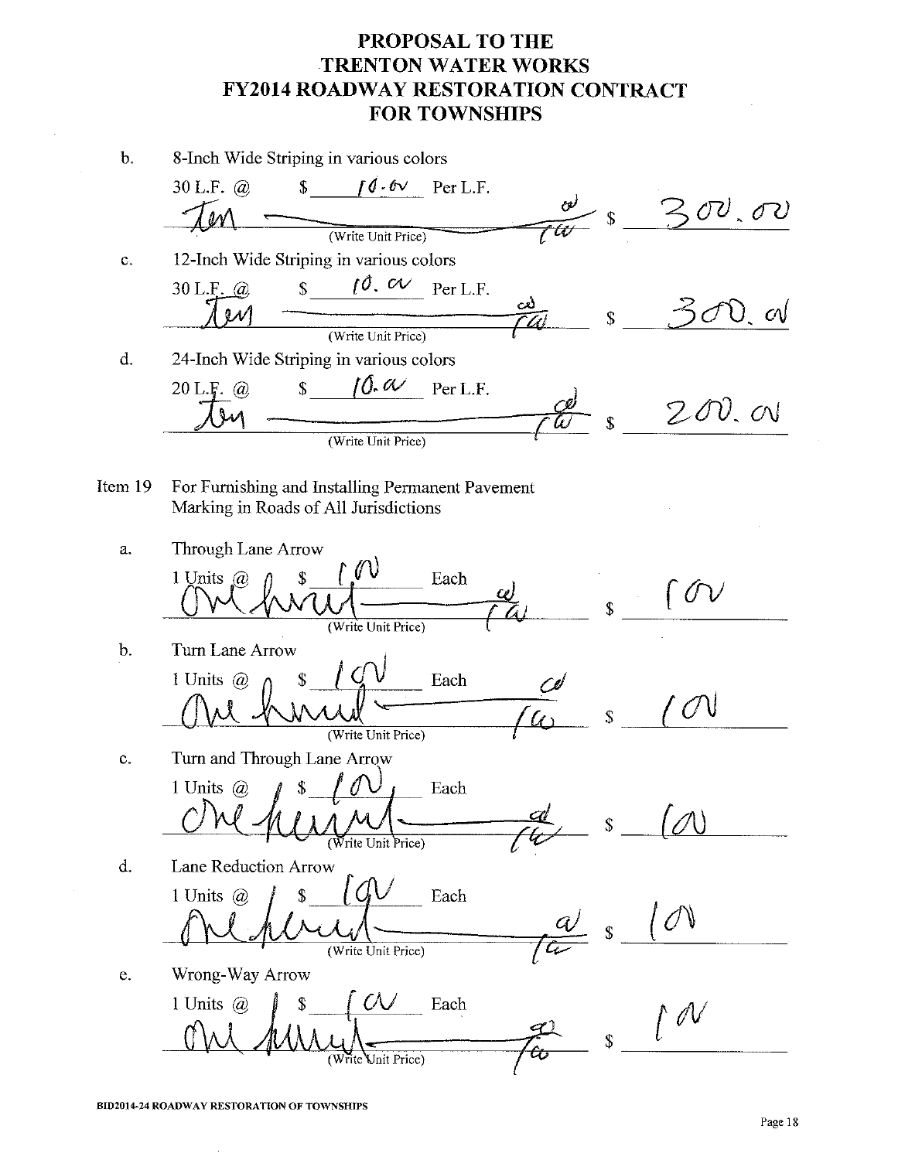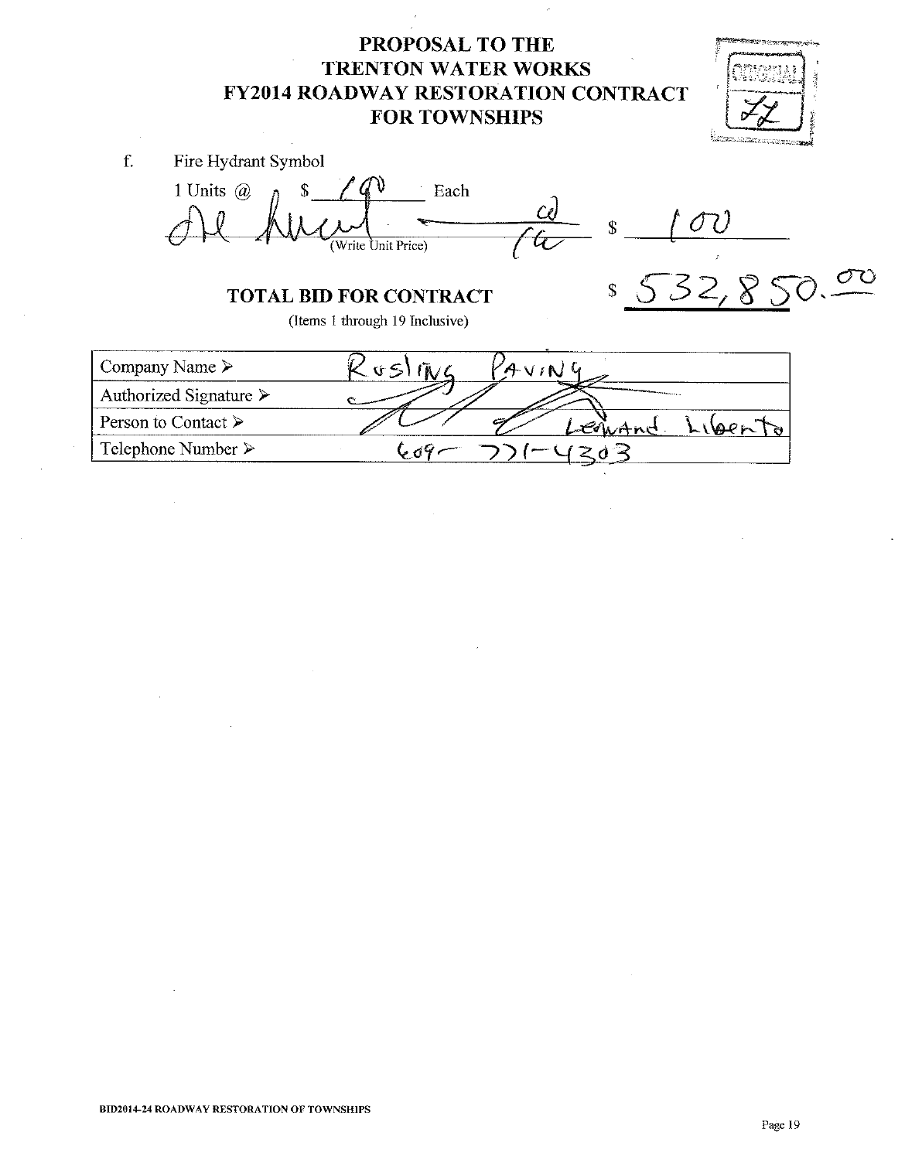

f. Fire Hydrant Symbol 1 Units  $\omega$  $\mathbf{\hat{S}}$  $\bar{\gamma}$ Each ov  $\overline{\mathbf{S}}$ (Write Unit Price)  $532,8$  $\mathsf{\$}$ **TOTAL BID FOR CONTRACT** (Items 1 through 19 Inclusive) Company Name >  $\mathfrak{c}_5$  $\tilde{\mathbf{A}}$  /  $\mathbf{A}$  $\vee$  (N) Authorized Signature > Person to Contact ≻ Enhand Libert Ó Telephone Number ≻  $609$  $203$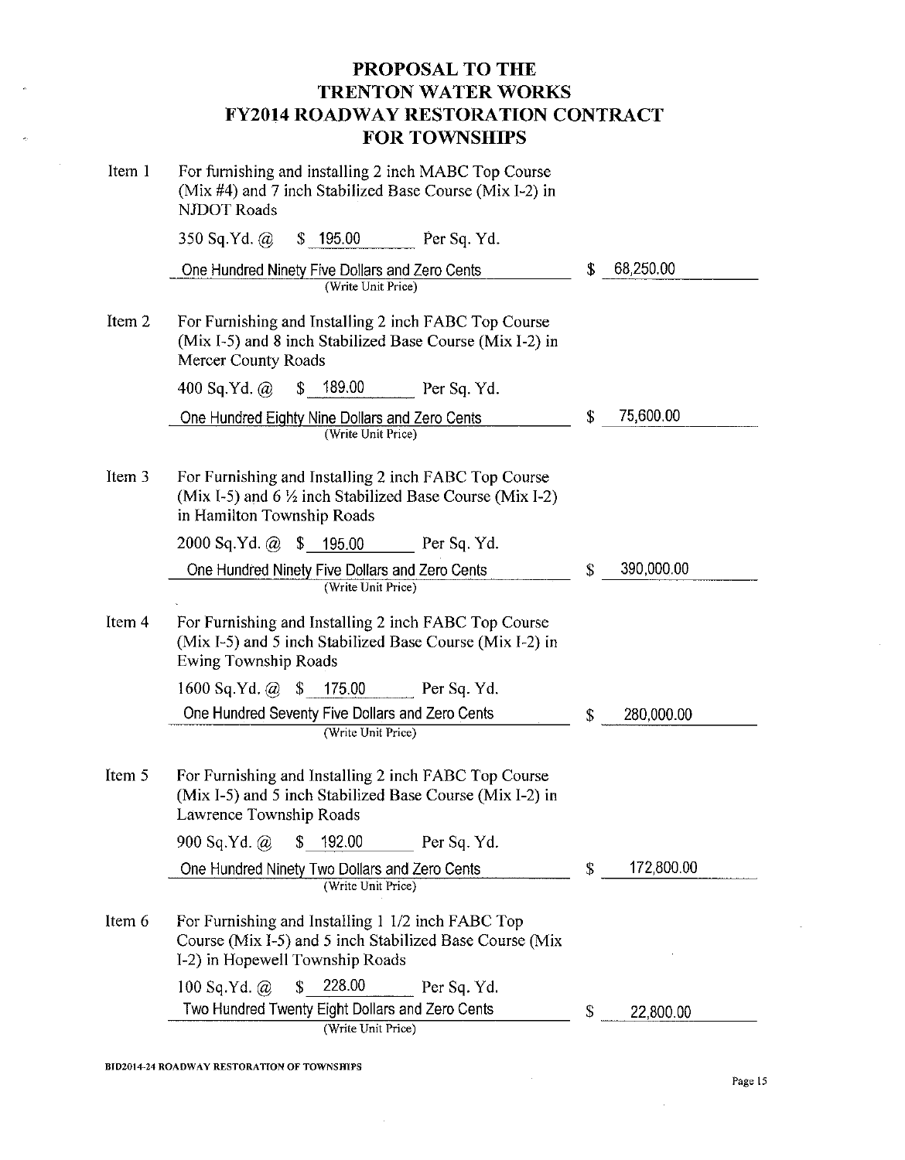| Item 1 | For furnishing and installing 2 inch MABC Top Course<br>(Mix #4) and 7 inch Stabilized Base Course (Mix I-2) in<br><b>NJDOT Roads</b>           |    |            |  |
|--------|-------------------------------------------------------------------------------------------------------------------------------------------------|----|------------|--|
|        | 350 Sq.Yd. @ \$ 195.00 Per Sq. Yd.                                                                                                              |    |            |  |
|        | One Hundred Ninety Five Dollars and Zero Cents<br>(Write Unit Price)                                                                            | \$ | 68,250.00  |  |
| Item 2 | For Furnishing and Installing 2 inch FABC Top Course<br>(Mix I-5) and 8 inch Stabilized Base Course (Mix I-2) in<br>Mercer County Roads         |    |            |  |
|        | \$189.00 Per Sq. Yd.<br>400 Sq.Yd. $@$                                                                                                          |    |            |  |
|        | One Hundred Eighty Nine Dollars and Zero Cents<br>(Write Unit Price)                                                                            | \$ | 75,600.00  |  |
| Item 3 | For Furnishing and Installing 2 inch FABC Top Course<br>(Mix I-5) and 6 1/2 inch Stabilized Base Course (Mix I-2)<br>in Hamilton Township Roads |    |            |  |
|        | $2000$ Sq.Yd. $@$ \$ 195.00<br>Per Sq. Yd.                                                                                                      |    |            |  |
|        | One Hundred Ninety Five Dollars and Zero Cents<br>(Write Unit Price)                                                                            | \$ | 390,000.00 |  |
| Item 4 | For Furnishing and Installing 2 inch FABC Top Course<br>(Mix I-5) and 5 inch Stabilized Base Course (Mix I-2) in<br><b>Ewing Township Roads</b> |    |            |  |
|        | $1600$ Sq.Yd. @ \$ 175.00<br>Per Sq. Yd.                                                                                                        |    |            |  |
|        | One Hundred Seventy Five Dollars and Zero Cents<br>(Write Unit Price)                                                                           | \$ | 280,000.00 |  |
| Item 5 | For Furnishing and Installing 2 inch FABC Top Course<br>(Mix I-5) and 5 inch Stabilized Base Course (Mix I-2) in<br>Lawrence Township Roads     |    |            |  |
|        | 900 Sq.Yd. $\omega$<br>192.00<br>\$<br>Per Sq. Yd.                                                                                              |    |            |  |
|        | One Hundred Ninety Two Dollars and Zero Cents<br>(Write Unit Price)                                                                             | \$ | 172,800.00 |  |
| Item 6 | For Furnishing and Installing 1 1/2 inch FABC Top<br>Course (Mix I-5) and 5 inch Stabilized Base Course (Mix<br>I-2) in Hopewell Township Roads |    |            |  |
|        | 228.00<br>\$<br>100 Sq.Yd. $\omega$<br>Per Sq. Yd.                                                                                              |    |            |  |
|        | Two Hundred Twenty Eight Dollars and Zero Cents<br>(Write Unit Price)                                                                           | \$ | 22,800.00  |  |

 $\bar{z}$ 

 $\sim$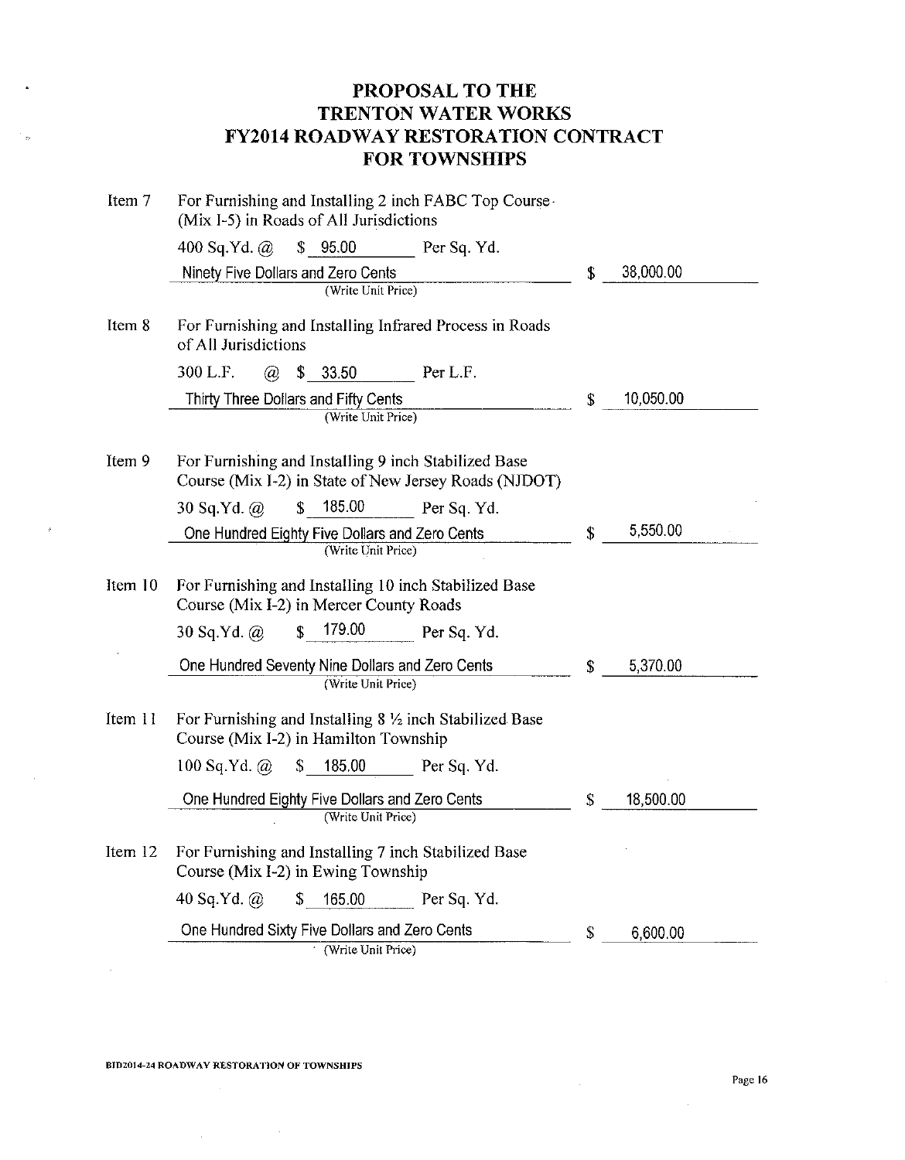| Item 7  | For Furnishing and Installing 2 inch FABC Top Course<br>(Mix I-5) in Roads of All Jurisdictions               |             |    |           |
|---------|---------------------------------------------------------------------------------------------------------------|-------------|----|-----------|
|         | 400 Sq.Yd. $\omega$<br>\$95.00<br>Per Sq. Yd.                                                                 |             |    |           |
|         | Ninety Five Dollars and Zero Cents                                                                            |             | S. | 38,000.00 |
|         | (Write Unit Price)                                                                                            |             |    |           |
| Item 8  | For Furnishing and Installing Infrared Process in Roads<br>of All Jurisdictions                               |             |    |           |
|         | 300 L.F.<br>33.50<br>Per L.F.<br>$\mathcal{D}_{\mathcal{A}}$<br>\$                                            |             |    |           |
|         | Thirty Three Dollars and Fifty Cents                                                                          |             | \$ | 10,050.00 |
|         | (Write Unit Price)                                                                                            |             |    |           |
| Item 9  | For Furnishing and Installing 9 inch Stabilized Base<br>Course (Mix I-2) in State of New Jersey Roads (NJDOT) |             |    |           |
|         | 185.00<br>30 Sq.Yd. $\omega$<br>$\mathbb{S}$                                                                  | Per Sq. Yd. |    |           |
|         | One Hundred Eighty Five Dollars and Zero Cents<br>(Write Unit Price)                                          |             | \$ | 5,550.00  |
|         |                                                                                                               |             |    |           |
| Item 10 | For Furnishing and Installing 10 inch Stabilized Base<br>Course (Mix I-2) in Mercer County Roads              |             |    |           |
|         | 179.00<br>\$<br>30 Sq.Yd. $\omega$                                                                            | Per Sq. Yd. |    |           |
|         | One Hundred Seventy Nine Dollars and Zero Cents                                                               |             | \$ | 5,370.00  |
|         | (Write Unit Price)                                                                                            |             |    |           |
| Item 11 | For Furnishing and Installing 8 1/2 inch Stabilized Base<br>Course (Mix I-2) in Hamilton Township             |             |    |           |
|         | 185.00<br>100 Sq.Yd. $\omega$<br>S                                                                            | Per Sq. Yd. |    |           |
|         | One Hundred Eighty Five Dollars and Zero Cents<br>(Write Unit Price)                                          |             | \$ | 18,500.00 |
| Item 12 | For Furnishing and Installing 7 inch Stabilized Base<br>Course (Mix I-2) in Ewing Township                    |             |    |           |
|         | 40 Sq.Yd. $\omega$<br>165.00<br>\$                                                                            | Per Sq. Yd. |    |           |
|         | One Hundred Sixty Five Dollars and Zero Cents<br>(Write Unit Price)                                           |             | \$ | 6,600.00  |

 $\mathcal{L}_{\text{max}}$  and  $\mathcal{L}_{\text{max}}$  . The set of  $\mathcal{L}_{\text{max}}$ 

 $\sim$ 

 $\sim$ 

 $\mathcal{O}_{\mathcal{O}}$ 

 $\mathcal{L}$ 

 $\mathcal{L}$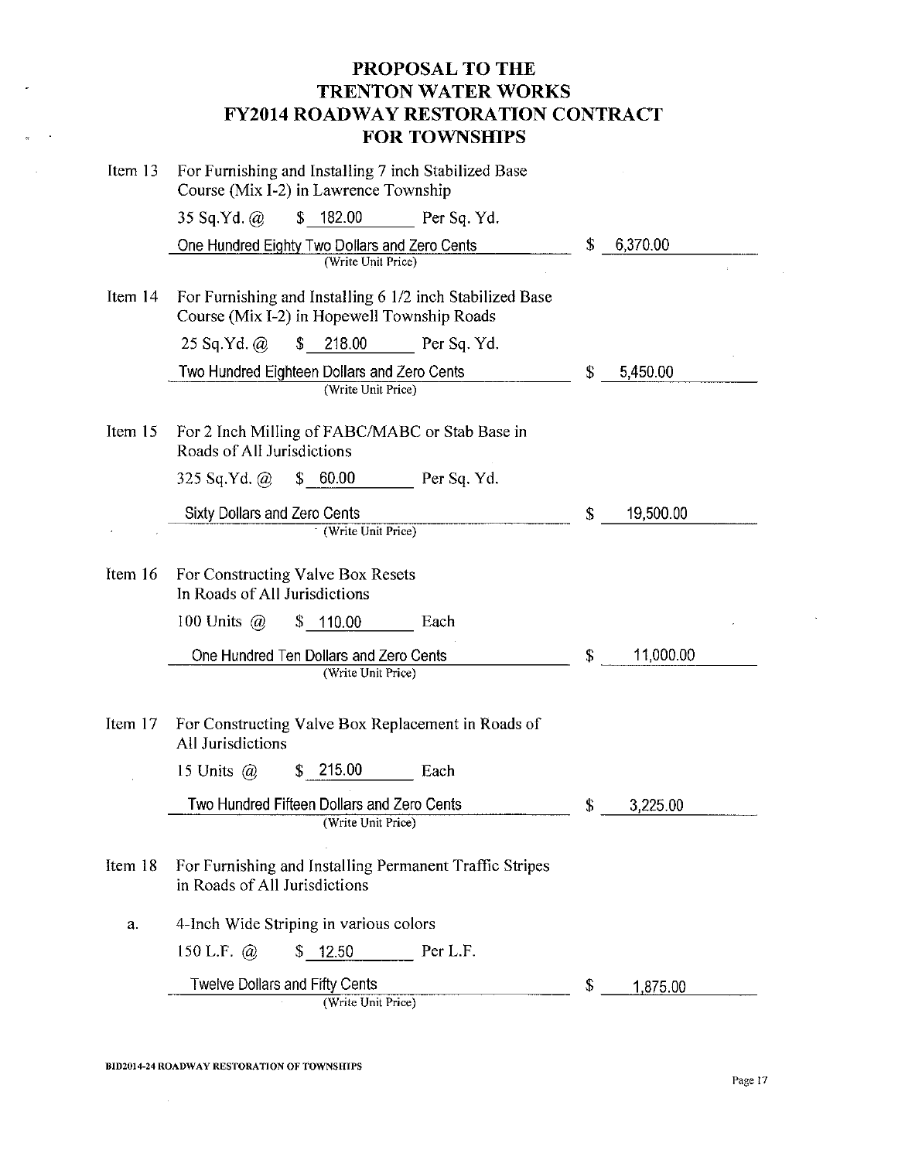| Item 13 | For Furnishing and Installing 7 inch Stabilized Base<br>Course (Mix I-2) in Lawrence Township           |                 |
|---------|---------------------------------------------------------------------------------------------------------|-----------------|
|         | \$182.00<br>35 Sq.Yd. @<br>Per Sq. Yd.                                                                  |                 |
|         | One Hundred Eighty Two Dollars and Zero Cents<br>(Write Unit Price)                                     | \$<br>6,370.00  |
| Item 14 | For Furnishing and Installing 6 1/2 inch Stabilized Base<br>Course (Mix I-2) in Hopewell Township Roads |                 |
|         | 218.00<br>$\mathbb{S}$<br>25 Sq.Yd. $\omega$<br>Per Sq. Yd.                                             |                 |
|         | Two Hundred Eighteen Dollars and Zero Cents<br>(Write Unit Price)                                       | \$<br>5,450.00  |
| Item 15 | For 2 Inch Milling of FABC/MABC or Stab Base in<br>Roads of All Jurisdictions                           |                 |
|         | \$60.00<br>$325$ Sq.Yd. $\omega$<br>Per Sq. Yd.                                                         |                 |
|         | <b>Sixty Dollars and Zero Cents</b><br>(Write Unit Price)                                               | \$<br>19,500.00 |
| Item 16 | For Constructing Valve Box Resets<br>In Roads of All Jurisdictions                                      |                 |
|         | 100 Units $\omega$<br>\$110.00<br>Each                                                                  |                 |
|         | One Hundred Ten Dollars and Zero Cents<br>(Write Unit Price)                                            | \$<br>11,000.00 |
| Item 17 | For Constructing Valve Box Replacement in Roads of<br>All Jurisdictions                                 |                 |
|         | 215.00<br>\$<br>15 Units $\omega$<br>Each                                                               |                 |
|         | Two Hundred Fifteen Dollars and Zero Cents<br>(Write Unit Price)                                        | \$<br>3,225.00  |
| Item 18 | For Furnishing and Installing Permanent Traffic Stripes<br>in Roads of All Jurisdictions                |                 |
| a.      | 4-Inch Wide Striping in various colors                                                                  |                 |
|         | 150 L.F. $(a)$<br>\$12.50<br>Per L.F.                                                                   |                 |
|         | <b>Twelve Dollars and Fifty Cents</b>                                                                   | \$<br>1,875.00  |
|         | (Write Unit Price)                                                                                      |                 |

 $\sim 10$ 

 $\overline{a}$ 

 $\sim$   $\sim$ 

 $\mathcal{L}^{\mathcal{L}}$ 

 $\bar{\mathcal{A}}$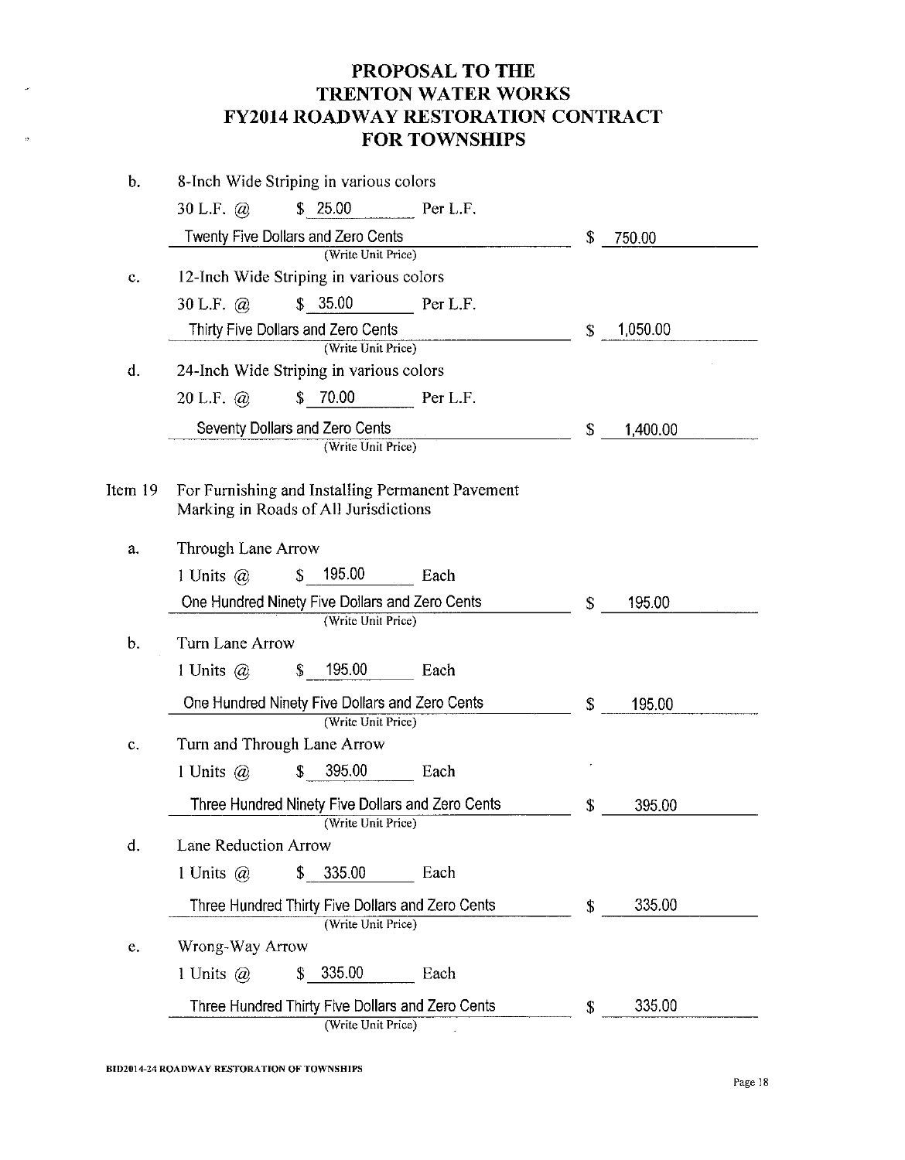| b.             | 8-Inch Wide Striping in various colors             |                |
|----------------|----------------------------------------------------|----------------|
|                | \$25.00<br>Per L.F.<br>30 L.F. $\omega$            |                |
|                | Twenty Five Dollars and Zero Cents                 | \$<br>750.00   |
|                | (Write Unit Price)                                 |                |
| C.             | 12-Inch Wide Striping in various colors            |                |
|                | \$35.00<br>30 L.F. $\omega$<br>Per L.F.            |                |
|                | Thirty Five Dollars and Zero Cents                 | 1,050.00<br>\$ |
|                | (Write Unit Price)                                 |                |
| $\mathbf{d}$ . | 24-Inch Wide Striping in various colors            |                |
|                | \$70.00<br>20 L.F. $\omega$<br>Per L F.            |                |
|                | Seventy Dollars and Zero Cents                     | \$<br>1,400.00 |
|                | (Write Unit Price)                                 |                |
| Item 19        | For Furnishing and Installing Permanent Pavement   |                |
|                | Marking in Roads of All Jurisdictions              |                |
| a.             | Through Lane Arrow                                 |                |
|                | 195.00<br>1 Units $\omega$<br>$\mathbb{S}$<br>Each |                |
|                | One Hundred Ninety Five Dollars and Zero Cents     | 195.00<br>\$   |
|                | (Write Unit Price)                                 |                |
| b.             | Turn Lane Arrow                                    |                |
|                | 195.00<br>1 Units $@$<br>\$<br>Each                |                |
|                | One Hundred Ninety Five Dollars and Zero Cents     | \$<br>195.00   |
|                | (Write Unit Price)                                 |                |
| c.             | Turn and Through Lane Arrow                        |                |
|                | 395.00<br>1 Units $\omega$<br>\$<br>Each           |                |
|                | Three Hundred Ninety Five Dollars and Zero Cents   | \$<br>395.00   |
|                | (Write Unit Price)                                 |                |
| d.             | Lane Reduction Arrow                               |                |
|                | 1 Units $(a)$<br>\$<br>335.00<br>Each              |                |
|                | Three Hundred Thirty Five Dollars and Zero Cents   | 335.00<br>\$   |
|                | (Write Unit Price)                                 |                |
| e.             | Wrong-Way Arrow                                    |                |
|                | 335.00<br>Each<br>1 Units $\omega$<br>\$           |                |
|                | Three Hundred Thirty Five Dollars and Zero Cents   | 335.00<br>\$   |
|                | (Write Unit Price)                                 |                |